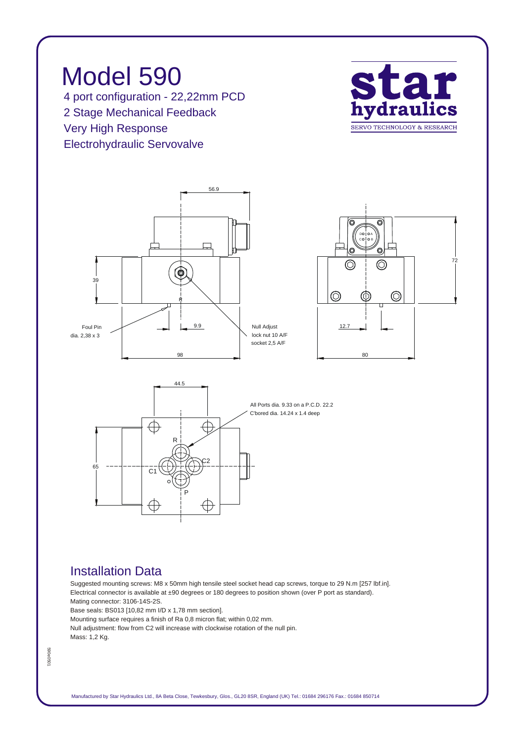

## *Installation Data*

*Suggested mounting screws: M8 x 50mm high tensile steel socket head cap screws, torque to 29 N.m [257 lbf.in]. Electrical connector is available at ±90 degrees or 180 degrees to position shown (over P port as standard). Mating connector: 3106-14S-2S.*

*Base seals: BS013 [10,82 mm I/D x 1,78 mm section].*

*Mounting surface requires a finish of Ra 0,8 micron flat; within 0,02 mm.*

*Null adjustment: flow from C2 will increase with clockwise rotation of the null pin. Mass: 1,2 Kg.*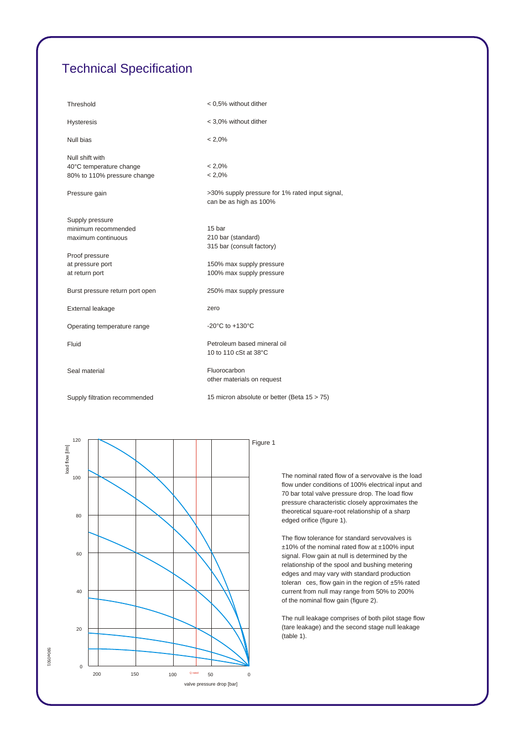## *Technical Specification*

| Threshold                                                                 | < 0.5% without dither                                                     |
|---------------------------------------------------------------------------|---------------------------------------------------------------------------|
| <b>Hysteresis</b>                                                         | < 3,0% without dither                                                     |
| Null bias                                                                 | $< 2.0\%$                                                                 |
| Null shift with<br>40°C temperature change<br>80% to 110% pressure change | $< 2.0\%$<br>$< 2.0\%$                                                    |
|                                                                           |                                                                           |
| Pressure gain                                                             | >30% supply pressure for 1% rated input signal,<br>can be as high as 100% |
| Supply pressure                                                           |                                                                           |
| minimum recommended                                                       | 15 bar                                                                    |
| maximum continuous                                                        | 210 bar (standard)                                                        |
|                                                                           | 315 bar (consult factory)                                                 |
| Proof pressure                                                            |                                                                           |
| at pressure port                                                          | 150% max supply pressure<br>100% max supply pressure                      |
| at return port                                                            |                                                                           |
| Burst pressure return port open                                           | 250% max supply pressure                                                  |
| External leakage                                                          | zero                                                                      |
| Operating temperature range                                               | -20 $^{\circ}$ C to +130 $^{\circ}$ C                                     |
| Fluid                                                                     | Petroleum based mineral oil<br>10 to 110 cSt at 38°C                      |
| Seal material                                                             | Fluorocarbon<br>other materials on request                                |
| Supply filtration recommended                                             | 15 micron absolute or better (Beta 15 > 75)                               |



*The nominal rated flow of a servovalve is the load flow under conditions of 100% electrical input and 70 bar total valve pressure drop. The load flow pressure characteristic closely approximates the theoretical square-root relationship of a sharp edged orifice (figure 1).*

*The flow tolerance for standard servovalves is ±10% of the nominal rated flow at ±100% input signal. Flow gain at null is determined by the relationship of the spool and bushing metering edges and may vary with standard production toleran ces, flow gain in the region of ±5% rated current from null may range from 50% to 200% of the nominal flow gain (figure 2).*

*The null leakage comprises of both pilot stage flow (tare leakage) and the second stage null leakage (table 1).*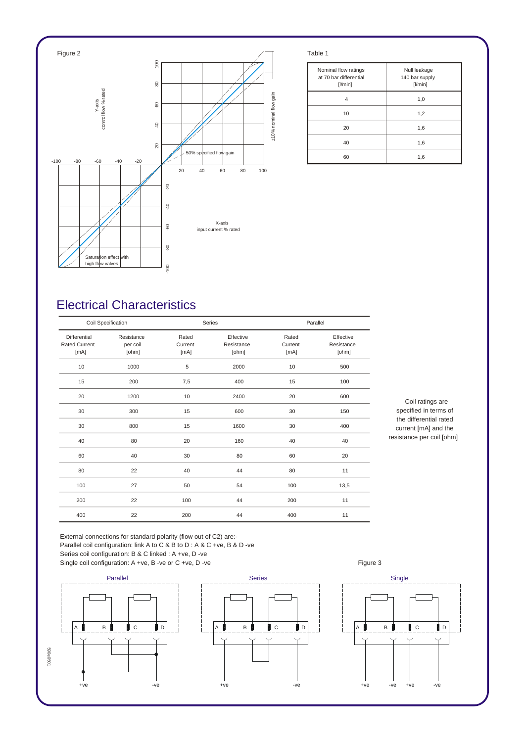

| Nominal flow ratings<br>at 70 bar differential<br>[1/min] | Null leakage<br>140 bar supply<br>[1/min] |
|-----------------------------------------------------------|-------------------------------------------|
| 4                                                         | 1,0                                       |
| 10                                                        | 1,2                                       |
| 20                                                        | 1,6                                       |
| 40                                                        | 1,6                                       |
| 60                                                        | 1,6                                       |

## *Electrical Characteristics*

| Coil Specification                           |                                 | Series                   |                                  | Parallel                 |                                  |
|----------------------------------------------|---------------------------------|--------------------------|----------------------------------|--------------------------|----------------------------------|
| Differential<br><b>Rated Current</b><br>[mA] | Resistance<br>per coil<br>[ohm] | Rated<br>Current<br>[mA] | Effective<br>Resistance<br>[ohm] | Rated<br>Current<br>[mA] | Effective<br>Resistance<br>[ohm] |
| 10                                           | 1000                            | 5                        | 2000                             | 10                       | 500                              |
| 15                                           | 200                             | 7,5                      | 400                              | 15                       | 100                              |
| 20                                           | 1200                            | 10                       | 2400                             | 20                       | 600                              |
| 30                                           | 300                             | 15                       | 600                              | 30                       | 150                              |
| 30                                           | 800                             | 15                       | 1600                             | 30                       | 400                              |
| 40                                           | 80                              | 20                       | 160                              | 40                       | 40                               |
| 60                                           | 40                              | 30                       | 80                               | 60                       | 20                               |
| 80                                           | 22                              | 40                       | 44                               | 80                       | 11                               |
| 100                                          | 27                              | 50                       | 54                               | 100                      | 13,5                             |
| 200                                          | 22                              | 100                      | 44                               | 200                      | 11                               |
| 400                                          | 22                              | 200                      | 44                               | 400                      | 11                               |

*Coil ratings are specified in terms of the differential rated current [mA] and the resistance per coil [ohm]*

*External connections for standard polarity (flow out of C2) are:- Parallel coil configuration: link A to C & B to D : A & C +ve, B & D -ve Series coil configuration: B & C linked : A +ve, D -ve* Single coil configuration: A +ve, B -ve or C +ve, D -ve **Figure 3** Figure 3